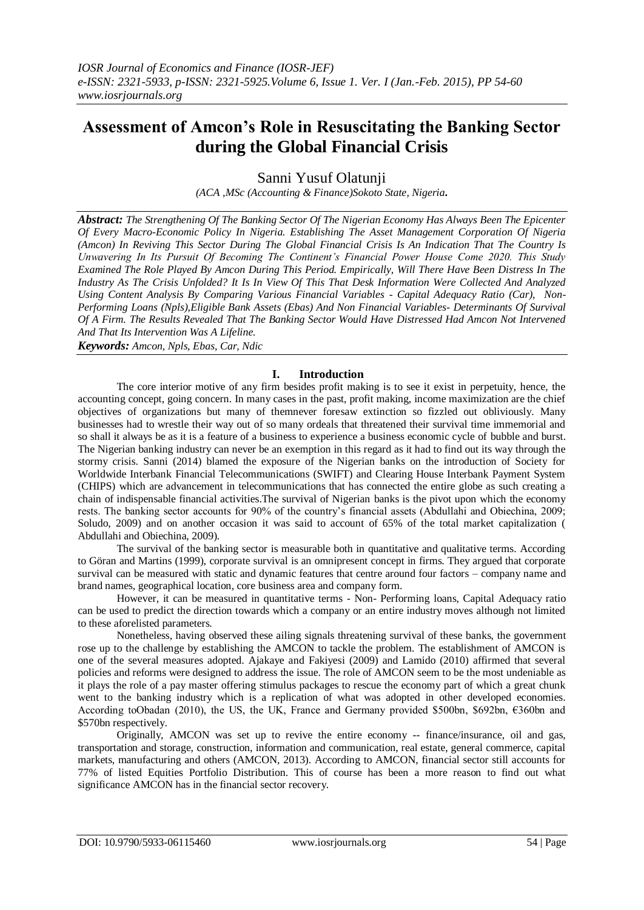# **Assessment of Amcon's Role in Resuscitating the Banking Sector during the Global Financial Crisis**

Sanni Yusuf Olatunji

*(ACA ,MSc (Accounting & Finance)Sokoto State, Nigeria.*

*Abstract: The Strengthening Of The Banking Sector Of The Nigerian Economy Has Always Been The Epicenter Of Every Macro-Economic Policy In Nigeria. Establishing The Asset Management Corporation Of Nigeria (Amcon) In Reviving This Sector During The Global Financial Crisis Is An Indication That The Country Is Unwavering In Its Pursuit Of Becoming The Continent's Financial Power House Come 2020. This Study Examined The Role Played By Amcon During This Period. Empirically, Will There Have Been Distress In The Industry As The Crisis Unfolded? It Is In View Of This That Desk Information Were Collected And Analyzed Using Content Analysis By Comparing Various Financial Variables - Capital Adequacy Ratio (Car), Non-Performing Loans (Npls),Eligible Bank Assets (Ebas) And Non Financial Variables- Determinants Of Survival Of A Firm. The Results Revealed That The Banking Sector Would Have Distressed Had Amcon Not Intervened And That Its Intervention Was A Lifeline.*

*Keywords: Amcon, Npls, Ebas, Car, Ndic*

# **I. Introduction**

The core interior motive of any firm besides profit making is to see it exist in perpetuity, hence, the accounting concept, going concern. In many cases in the past, profit making, income maximization are the chief objectives of organizations but many of themnever foresaw extinction so fizzled out obliviously. Many businesses had to wrestle their way out of so many ordeals that threatened their survival time immemorial and so shall it always be as it is a feature of a business to experience a business economic cycle of bubble and burst. The Nigerian banking industry can never be an exemption in this regard as it had to find out its way through the stormy crisis. Sanni (2014) blamed the exposure of the Nigerian banks on the introduction of Society for Worldwide Interbank Financial Telecommunications (SWIFT) and Clearing House Interbank Payment System (CHIPS) which are advancement in telecommunications that has connected the entire globe as such creating a chain of indispensable financial activities.The survival of Nigerian banks is the pivot upon which the economy rests. The banking sector accounts for 90% of the country's financial assets (Abdullahi and Obiechina, 2009; Soludo, 2009) and on another occasion it was said to account of 65% of the total market capitalization ( Abdullahi and Obiechina, 2009).

The survival of the banking sector is measurable both in quantitative and qualitative terms. According to Göran and Martins (1999), corporate survival is an omnipresent concept in firms. They argued that corporate survival can be measured with static and dynamic features that centre around four factors – company name and brand names, geographical location, core business area and company form.

However, it can be measured in quantitative terms - Non- Performing loans, Capital Adequacy ratio can be used to predict the direction towards which a company or an entire industry moves although not limited to these aforelisted parameters.

Nonetheless, having observed these ailing signals threatening survival of these banks, the government rose up to the challenge by establishing the AMCON to tackle the problem. The establishment of AMCON is one of the several measures adopted. Ajakaye and Fakiyesi (2009) and Lamido (2010) affirmed that several policies and reforms were designed to address the issue. The role of AMCON seem to be the most undeniable as it plays the role of a pay master offering stimulus packages to rescue the economy part of which a great chunk went to the banking industry which is a replication of what was adopted in other developed economies. According toObadan (2010), the US, the UK, France and Germany provided \$500bn, \$692bn, €360bn and \$570bn respectively.

Originally, AMCON was set up to revive the entire economy -- finance/insurance, oil and gas, transportation and storage, construction, information and communication, real estate, general commerce, capital markets, manufacturing and others (AMCON, 2013). According to AMCON, financial sector still accounts for 77% of listed Equities Portfolio Distribution. This of course has been a more reason to find out what significance AMCON has in the financial sector recovery.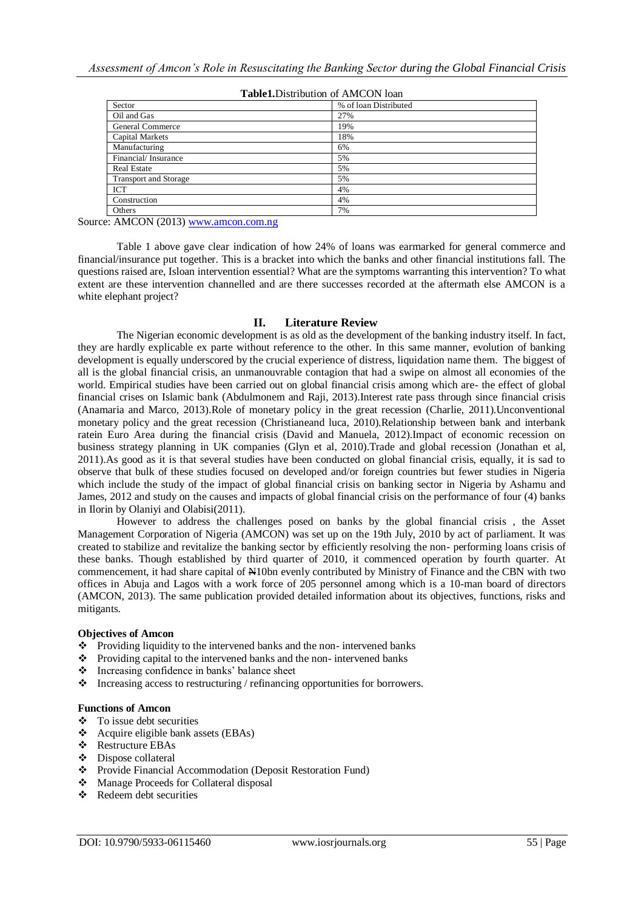| Sector                       | % of loan Distributed |  |  |
|------------------------------|-----------------------|--|--|
| Oil and Gas                  | 27%                   |  |  |
| General Commerce             | 19%                   |  |  |
| Capital Markets              | 18%                   |  |  |
| Manufacturing                | 6%                    |  |  |
| Financial/Insurance          | 5%                    |  |  |
| <b>Real Estate</b>           | 5%                    |  |  |
| <b>Transport and Storage</b> | 5%                    |  |  |
| <b>ICT</b>                   | 4%                    |  |  |
| Construction                 | 4%                    |  |  |
| Others                       | 7%                    |  |  |
|                              |                       |  |  |

**Table1.**Distribution of AMCON loan

Source: AMCON (2013) [www.amcon.com.ng](http://www.amcon.com.ng/)

Table 1 above gave clear indication of how 24% of loans was earmarked for general commerce and financial/insurance put together. This is a bracket into which the banks and other financial institutions fall. The questions raised are, Isloan intervention essential? What are the symptoms warranting this intervention? To what extent are these intervention channelled and are there successes recorded at the aftermath else AMCON is a white elephant project?

## **II. Literature Review**

The Nigerian economic development is as old as the development of the banking industry itself. In fact, they are hardly explicable ex parte without reference to the other. In this same manner, evolution of banking development is equally underscored by the crucial experience of distress, liquidation name them. The biggest of all is the global financial crisis, an unmanouvrable contagion that had a swipe on almost all economies of the world. Empirical studies have been carried out on global financial crisis among which are- the effect of global financial crises on Islamic bank (Abdulmonem and Raji, 2013).Interest rate pass through since financial crisis (Anamaria and Marco, 2013).Role of monetary policy in the great recession (Charlie, 2011).Unconventional monetary policy and the great recession (Christianeand luca, 2010).Relationship between bank and interbank ratein Euro Area during the financial crisis (David and Manuela, 2012).Impact of economic recession on business strategy planning in UK companies (Glyn et al, 2010).Trade and global recession (Jonathan et al, 2011).As good as it is that several studies have been conducted on global financial crisis, equally, it is sad to observe that bulk of these studies focused on developed and/or foreign countries but fewer studies in Nigeria which include the study of the impact of global financial crisis on banking sector in Nigeria by Ashamu and James, 2012 and study on the causes and impacts of global financial crisis on the performance of four (4) banks in Ilorin by Olaniyi and Olabisi(2011).

However to address the challenges posed on banks by the global financial crisis , the Asset Management Corporation of Nigeria (AMCON) was set up on the 19th July, 2010 by act of parliament. It was created to stabilize and revitalize the banking sector by efficiently resolving the non- performing loans crisis of these banks. Though established by third quarter of 2010, it commenced operation by fourth quarter. At commencement, it had share capital of  $\blacktriangle$ 10bn evenly contributed by Ministry of Finance and the CBN with two offices in Abuja and Lagos with a work force of 205 personnel among which is a 10-man board of directors (AMCON, 2013). The same publication provided detailed information about its objectives, functions, risks and mitigants.

#### **Objectives of Amcon**

- $\bullet$  Providing liquidity to the intervened banks and the non- intervened banks
- \* Providing capital to the intervened banks and the non- intervened banks
- Increasing confidence in banks' balance sheet
- $\triangleleft$  Increasing access to restructuring / refinancing opportunities for borrowers.

## **Functions of Amcon**

- $\bullet$  To issue debt securities
- Acquire eligible bank assets (EBAs)
- Restructure EBAs
- $\bullet$  Dispose collateral
- Provide Financial Accommodation (Deposit Restoration Fund)
- Manage Proceeds for Collateral disposal
- **❖** Redeem debt securities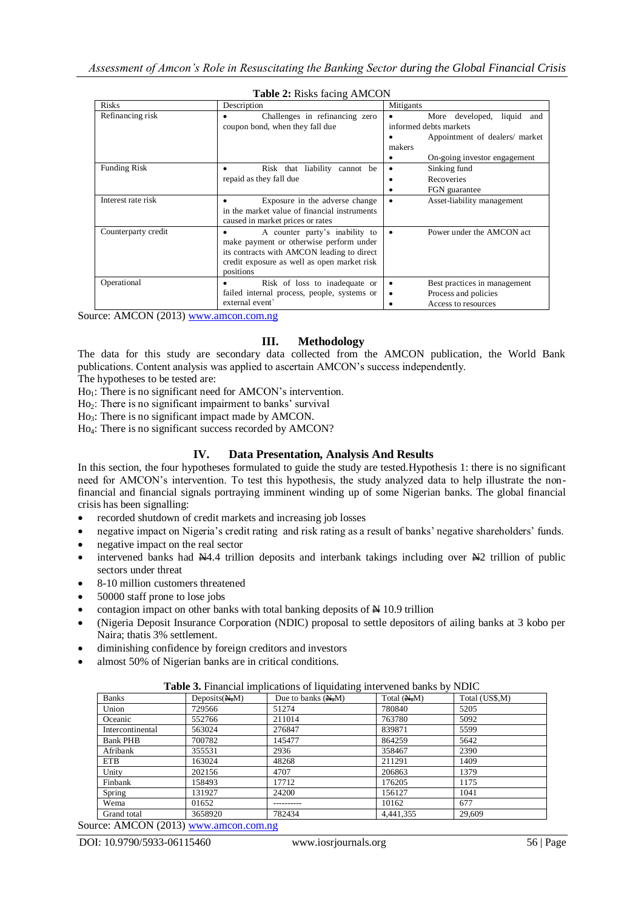| <b>Risks</b>        | Description                                                                                                                                                                         | Mitigants                                                                              |  |  |  |  |
|---------------------|-------------------------------------------------------------------------------------------------------------------------------------------------------------------------------------|----------------------------------------------------------------------------------------|--|--|--|--|
| Refinancing risk    | Challenges in refinancing zero<br>coupon bond, when they fall due                                                                                                                   | More developed, liquid and<br>informed debts markets<br>Appointment of dealers/ market |  |  |  |  |
|                     |                                                                                                                                                                                     | makers<br>On-going investor engagement                                                 |  |  |  |  |
| <b>Funding Risk</b> | Risk that liability cannot be<br>repaid as they fall due                                                                                                                            | Sinking fund<br>Recoveries<br>FGN guarantee                                            |  |  |  |  |
| Interest rate risk  | Exposure in the adverse change<br>in the market value of financial instruments<br>caused in market prices or rates                                                                  | Asset-liability management<br>٠                                                        |  |  |  |  |
| Counterparty credit | A counter party's inability to<br>make payment or otherwise perform under<br>its contracts with AMCON leading to direct<br>credit exposure as well as open market risk<br>positions | Power under the AMCON act                                                              |  |  |  |  |
| Operational         | Risk of loss to inadequate or<br>failed internal process, people, systems or<br>external event                                                                                      | Best practices in management<br>٠<br>Process and policies<br>٠<br>Access to resources  |  |  |  |  |

#### **Table 2:** Risks facing AMCON

Source: AMCON (2013) [www.amcon.com.ng](http://www.amcon.com.ng/)

# **III. Methodology**

The data for this study are secondary data collected from the AMCON publication, the World Bank publications. Content analysis was applied to ascertain AMCON's success independently.

The hypotheses to be tested are:

 $Ho<sub>1</sub>$ : There is no significant need for AMCON's intervention.

Ho<sub>2</sub>: There is no significant impairment to banks' survival

Ho<sub>3</sub>: There is no significant impact made by AMCON.

Ho4: There is no significant success recorded by AMCON?

# **IV. Data Presentation, Analysis And Results**

In this section, the four hypotheses formulated to guide the study are tested.Hypothesis 1: there is no significant need for AMCON's intervention. To test this hypothesis, the study analyzed data to help illustrate the nonfinancial and financial signals portraying imminent winding up of some Nigerian banks. The global financial crisis has been signalling:

- recorded shutdown of credit markets and increasing job losses
- negative impact on Nigeria's credit rating and risk rating as a result of banks' negative shareholders' funds.
- negative impact on the real sector
- intervened banks had N4.4 trillion deposits and interbank takings including over N2 trillion of public sectors under threat
- 8-10 million customers threatened
- 50000 staff prone to lose jobs
- contagion impact on other banks with total banking deposits of  $\cancel{\text{H}}$  10.9 trillion
- (Nigeria Deposit Insurance Corporation (NDIC) proposal to settle depositors of ailing banks at 3 kobo per Naira; thatis 3% settlement.
- diminishing confidence by foreign creditors and investors
- almost 50% of Nigerian banks are in critical conditions.

| <b>Banks</b>     | Deposits(M,M) | Due to banks $(M, M)$ | Total $(M, M)$ | Total (US\$,M) |
|------------------|---------------|-----------------------|----------------|----------------|
| Union            | 729566        | 51274                 | 780840         | 5205           |
| Oceanic          | 552766        | 211014                | 763780         | 5092           |
| Intercontinental | 563024        | 276847                | 839871         | 5599           |
| <b>Bank PHB</b>  | 700782        | 145477                | 864259         | 5642           |
| Afribank         | 355531        | 2936                  | 358467         | 2390           |
| <b>ETB</b>       | 163024        | 48268                 | 211291         | 1409           |
| Unity            | 202156        | 4707                  | 206863         | 1379           |
| Finbank          | 158493        | 17712                 | 176205         | 1175           |
| Spring           | 131927        | 24200                 | 156127         | 1041           |
| Wema             | 01652         |                       | 10162          | 677            |
| Grand total      | 3658920       | 782434                | 4.441.355      | 29,609         |

**Table 3.** Financial implications of liquidating intervened banks by NDIC

Source: AMCON (2013) [www.amcon.com.ng](http://www.amcon.com.ng/)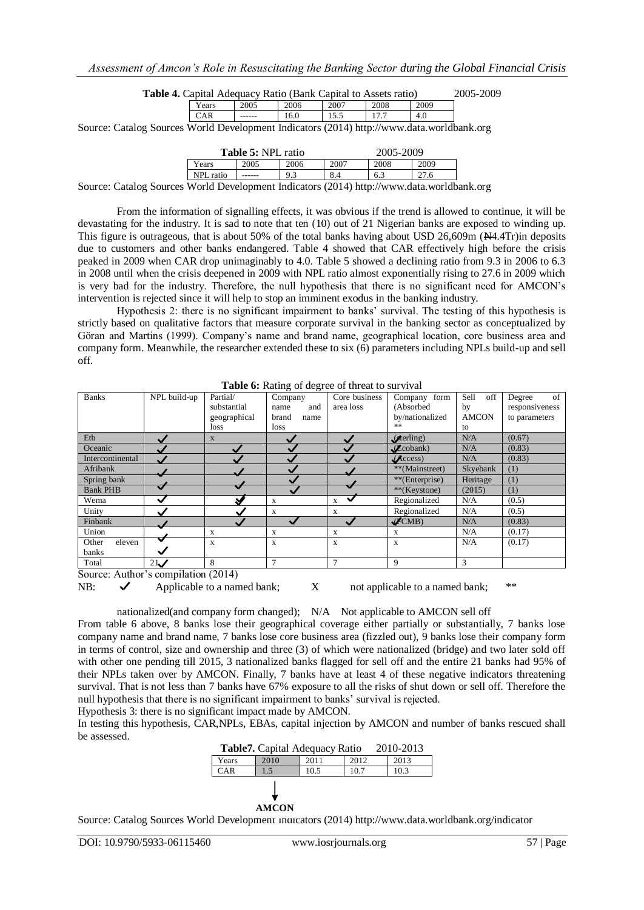| <b>Table 4.</b> Capital Adequacy Ratio (Bank Capital to Assets ratio) | 2005-2009 |
|-----------------------------------------------------------------------|-----------|
|-----------------------------------------------------------------------|-----------|

| Y ears | 2005    | 2006 | 2007 | 2008 | 2009     |  |
|--------|---------|------|------|------|----------|--|
| $\sim$ | ------- | 10.U | 10.J | .    | 4<br>+.v |  |

Source: Catalog Sources World Development Indicators (2014) http://www.data.worldbank.org

| <b>Table 5: NPL ratio</b>                                    |      |      |      | 2005-2009 |      |  |
|--------------------------------------------------------------|------|------|------|-----------|------|--|
| Years                                                        | 2005 | 2006 | 2007 | 2008      | 2009 |  |
| NPL ratio                                                    |      |      |      | 6.3       |      |  |
| World Douglopment Indicators (2014) http://www.dete.worldben |      |      |      |           |      |  |

Source: Catalog Sources World Development Indicators (2014) http://www.data.worldbank.org

From the information of signalling effects, it was obvious if the trend is allowed to continue, it will be devastating for the industry. It is sad to note that ten (10) out of 21 Nigerian banks are exposed to winding up. This figure is outrageous, that is about 50% of the total banks having about USD 26,609m ( $\cancel{\text{A4}}$ .4Tr)in deposits due to customers and other banks endangered. Table 4 showed that CAR effectively high before the crisis peaked in 2009 when CAR drop unimaginably to 4.0. Table 5 showed a declining ratio from 9.3 in 2006 to 6.3 in 2008 until when the crisis deepened in 2009 with NPL ratio almost exponentially rising to 27.6 in 2009 which is very bad for the industry. Therefore, the null hypothesis that there is no significant need for AMCON's intervention is rejected since it will help to stop an imminent exodus in the banking industry.

Hypothesis 2: there is no significant impairment to banks' survival. The testing of this hypothesis is strictly based on qualitative factors that measure corporate survival in the banking sector as conceptualized by Göran and Martins (1999). Company's name and brand name, geographical location, core business area and company form. Meanwhile, the researcher extended these to six (6) parameters including NPLs build-up and sell off.

| <b>Banks</b>     | NPL build-up             | Partial/     | Company        | Core business     | form<br>Company       | Sell<br>off  | of<br>Degree   |
|------------------|--------------------------|--------------|----------------|-------------------|-----------------------|--------------|----------------|
|                  |                          | substantial  | and<br>name    | area loss         | (Absorbed             | by           | responsiveness |
|                  |                          | geographical | brand<br>name  |                   | by/nationalized       | <b>AMCON</b> | to parameters  |
|                  |                          | loss         | loss           |                   | **                    | to           |                |
| Etb              |                          | X            |                |                   | $\mathcal{L}$ erling) | N/A          | (0.67)         |
| Oceanic          |                          |              |                |                   | $\mathcal{L}$ cobank) | N/A          | (0.83)         |
| Intercontinental |                          |              |                |                   | $\mathcal{L}$ ccess)  | N/A          | (0.83)         |
| Afribank         |                          |              |                |                   | **(Mainstreet)        | Skyebank     | (1)            |
| Spring bank      |                          |              |                |                   | **(Enterprise)        | Heritage     | (1)            |
| <b>Bank PHB</b>  | $\overline{\phantom{a}}$ |              |                |                   | **(Keystone)          | (2015)       | (1)            |
| Wema             | $\checkmark$             |              | X              | $\checkmark$<br>X | Regionalized          | N/A          | (0.5)          |
| Unity            |                          |              | X              | X                 | Regionalized          | N/A          | (0.5)          |
| Finbank          |                          |              |                |                   | $\mathcal{K}$ CMB)    | N/A          | (0.83)         |
| Union            |                          | X            | X              | X                 | X                     | N/A          | (0.17)         |
| eleven<br>Other  | ∾                        | X            | X              | X                 | X                     | N/A          | (0.17)         |
| banks            |                          |              |                |                   |                       |              |                |
| Total            | 21<br>$\sim$             | 8            | $\overline{7}$ | $\overline{7}$    | 9                     | 3            |                |

**Table 6:** Rating of degree of threat to survival

Source: Author's compilation (2014)

NB:  $\checkmark$  Applicable to a named bank;  $\checkmark$  not applicable to a named bank;  $\checkmark$ 

nationalized(and company form changed); N/A Not applicable to AMCON sell off

From table 6 above, 8 banks lose their geographical coverage either partially or substantially, 7 banks lose company name and brand name, 7 banks lose core business area (fizzled out), 9 banks lose their company form in terms of control, size and ownership and three (3) of which were nationalized (bridge) and two later sold off with other one pending till 2015, 3 nationalized banks flagged for sell off and the entire 21 banks had 95% of their NPLs taken over by AMCON. Finally, 7 banks have at least 4 of these negative indicators threatening survival. That is not less than 7 banks have 67% exposure to all the risks of shut down or sell off. Therefore the null hypothesis that there is no significant impairment to banks' survival is rejected. Hypothesis 3: there is no significant impact made by AMCON.

In testing this hypothesis, CAR,NPLs, EBAs, capital injection by AMCON and number of banks rescued shall be assessed.

| <b>Table7.</b> Capital Adequacy Ratio<br>2010-2013 |       |      |      |      |  |
|----------------------------------------------------|-------|------|------|------|--|
| Years                                              | 2010  | 2011 | 2012 | 2013 |  |
| <b>CAR</b>                                         |       | 10.5 | 10.7 | 10.3 |  |
|                                                    | AMCON |      |      |      |  |

Source: Catalog Sources World Development Indicators (2014) http://www.data.worldbank.org/indicator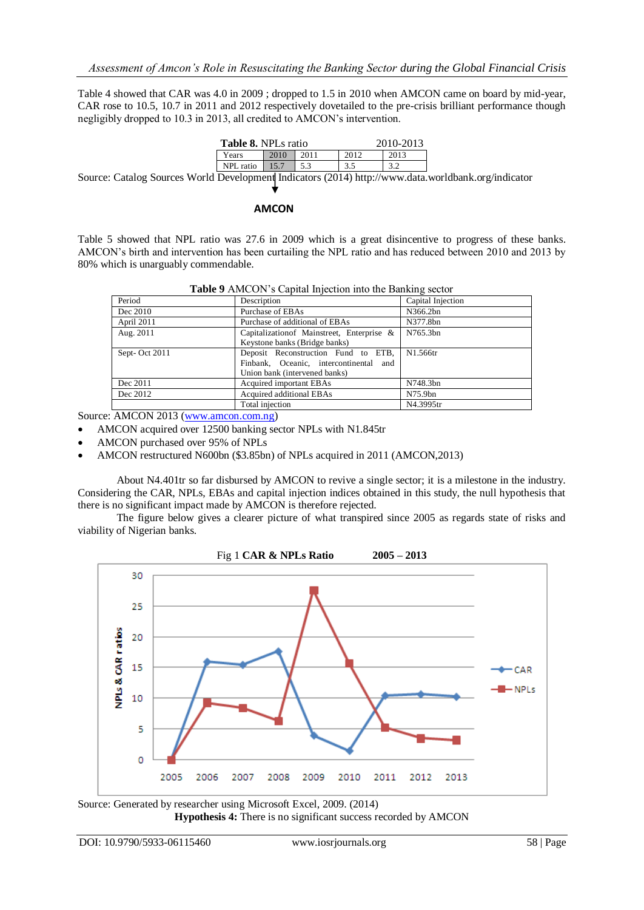Table 4 showed that CAR was 4.0 in 2009 ; dropped to 1.5 in 2010 when AMCON came on board by mid-year, CAR rose to 10.5, 10.7 in 2011 and 2012 respectively dovetailed to the pre-crisis brilliant performance though negligibly dropped to 10.3 in 2013, all credited to AMCON's intervention.

| <b>Table 8. NPLs ratio</b> |      |  |      | 2010-2013 |
|----------------------------|------|--|------|-----------|
| Years                      | 2010 |  | 2012 |           |
| NPL ratio                  |      |  |      |           |
|                            | - -  |  | .    |           |

Source: Catalog Sources World Development Indicators (2014) http://www.data.worldbank.org/indicator

#### **AMCON**

Table 5 showed that NPL ratio was 27.6 in 2009 which is a great disincentive to progress of these banks. AMCON's birth and intervention has been curtailing the NPL ratio and has reduced between 2010 and 2013 by 80% which is unarguably commendable.

| Period        | Description                                | Capital Injection |
|---------------|--------------------------------------------|-------------------|
| Dec 2010      | Purchase of EBAs                           | N366.2bn          |
| April 2011    | Purchase of additional of EBAs             | N377.8bn          |
| Aug. 2011     | Capitalization of Mainstreet, Enterprise & | N765.3bn          |
|               | Keystone banks (Bridge banks)              |                   |
| Sept-Oct 2011 | Deposit Reconstruction Fund to ETB,        | N1.566tr          |
|               | Finbank, Oceanic, intercontinental and     |                   |
|               | Union bank (intervened banks)              |                   |
| Dec 2011      | Acquired important EBAs                    | N748.3bn          |
| Dec 2012      | Acquired additional EBAs                   | N75.9bn           |
|               | Total injection                            | N4.3995tr         |

Source: AMCON 2013 [\(www.amcon.com.ng\)](http://www.amcon.com.ng/)

AMCON acquired over 12500 banking sector NPLs with N1.845tr

- AMCON purchased over 95% of NPLs
- AMCON restructured N600bn (\$3.85bn) of NPLs acquired in 2011 (AMCON,2013)

About N4.401tr so far disbursed by AMCON to revive a single sector; it is a milestone in the industry. Considering the CAR, NPLs, EBAs and capital injection indices obtained in this study, the null hypothesis that there is no significant impact made by AMCON is therefore rejected.

The figure below gives a clearer picture of what transpired since 2005 as regards state of risks and viability of Nigerian banks.



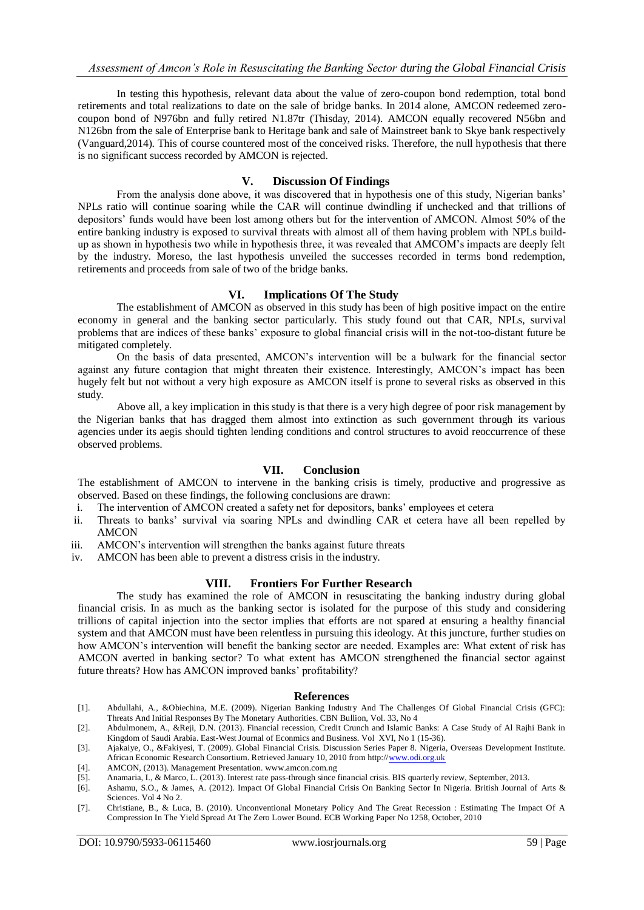In testing this hypothesis, relevant data about the value of zero-coupon bond redemption, total bond retirements and total realizations to date on the sale of bridge banks. In 2014 alone, AMCON redeemed zerocoupon bond of N976bn and fully retired N1.87tr (Thisday, 2014). AMCON equally recovered N56bn and N126bn from the sale of Enterprise bank to Heritage bank and sale of Mainstreet bank to Skye bank respectively (Vanguard,2014). This of course countered most of the conceived risks. Therefore, the null hypothesis that there is no significant success recorded by AMCON is rejected.

#### **V. Discussion Of Findings**

From the analysis done above, it was discovered that in hypothesis one of this study, Nigerian banks' NPLs ratio will continue soaring while the CAR will continue dwindling if unchecked and that trillions of depositors' funds would have been lost among others but for the intervention of AMCON. Almost 50% of the entire banking industry is exposed to survival threats with almost all of them having problem with NPLs buildup as shown in hypothesis two while in hypothesis three, it was revealed that AMCOM's impacts are deeply felt by the industry. Moreso, the last hypothesis unveiled the successes recorded in terms bond redemption, retirements and proceeds from sale of two of the bridge banks.

## **VI. Implications Of The Study**

The establishment of AMCON as observed in this study has been of high positive impact on the entire economy in general and the banking sector particularly. This study found out that CAR, NPLs, survival problems that are indices of these banks' exposure to global financial crisis will in the not-too-distant future be mitigated completely.

On the basis of data presented, AMCON's intervention will be a bulwark for the financial sector against any future contagion that might threaten their existence. Interestingly, AMCON's impact has been hugely felt but not without a very high exposure as AMCON itself is prone to several risks as observed in this study.

Above all, a key implication in this study is that there is a very high degree of poor risk management by the Nigerian banks that has dragged them almost into extinction as such government through its various agencies under its aegis should tighten lending conditions and control structures to avoid reoccurrence of these observed problems.

# **VII. Conclusion**

The establishment of AMCON to intervene in the banking crisis is timely, productive and progressive as observed. Based on these findings, the following conclusions are drawn:

- i. The intervention of AMCON created a safety net for depositors, banks' employees et cetera
- ii. Threats to banks' survival via soaring NPLs and dwindling CAR et cetera have all been repelled by AMCON
- iii. AMCON's intervention will strengthen the banks against future threats
- iv. AMCON has been able to prevent a distress crisis in the industry.

# **VIII. Frontiers For Further Research**

The study has examined the role of AMCON in resuscitating the banking industry during global financial crisis. In as much as the banking sector is isolated for the purpose of this study and considering trillions of capital injection into the sector implies that efforts are not spared at ensuring a healthy financial system and that AMCON must have been relentless in pursuing this ideology. At this juncture, further studies on how AMCON's intervention will benefit the banking sector are needed. Examples are: What extent of risk has AMCON averted in banking sector? To what extent has AMCON strengthened the financial sector against future threats? How has AMCON improved banks' profitability?

#### **References**

- [1]. Abdullahi, A., &Obiechina, M.E. (2009). Nigerian Banking Industry And The Challenges Of Global Financial Crisis (GFC): Threats And Initial Responses By The Monetary Authorities. CBN Bullion, Vol. 33, No 4
- [2]. Abdulmonem, A., &Reji, D.N. (2013). Financial recession, Credit Crunch and Islamic Banks: A Case Study of Al Rajhi Bank in Kingdom of Saudi Arabia. East-West Journal of Econmics and Business. Vol XVI, No 1 (15-36).
- [3]. Ajakaiye, O., &Fakiyesi, T. (2009). Global Financial Crisis. Discussion Series Paper 8. Nigeria, Overseas Development Institute. African Economic Research Consortium. Retrieved January 10, 2010 from http:[//www.odi.org.uk](http://www.odi.org.uk/)
- [4]. AMCON, (2013). Management Presentation. www.amcon.com.ng
- [5]. Anamaria, I., & Marco, L. (2013). Interest rate pass-through since financial crisis. BIS quarterly review, September, 2013.
- [6]. Ashamu, S.O., & James, A. (2012). Impact Of Global Financial Crisis On Banking Sector In Nigeria. British Journal of Arts & Sciences. Vol 4 No 2.
- [7]. Christiane, B., & Luca, B. (2010). Unconventional Monetary Policy And The Great Recession : Estimating The Impact Of A Compression In The Yield Spread At The Zero Lower Bound. ECB Working Paper No 1258, October, 2010